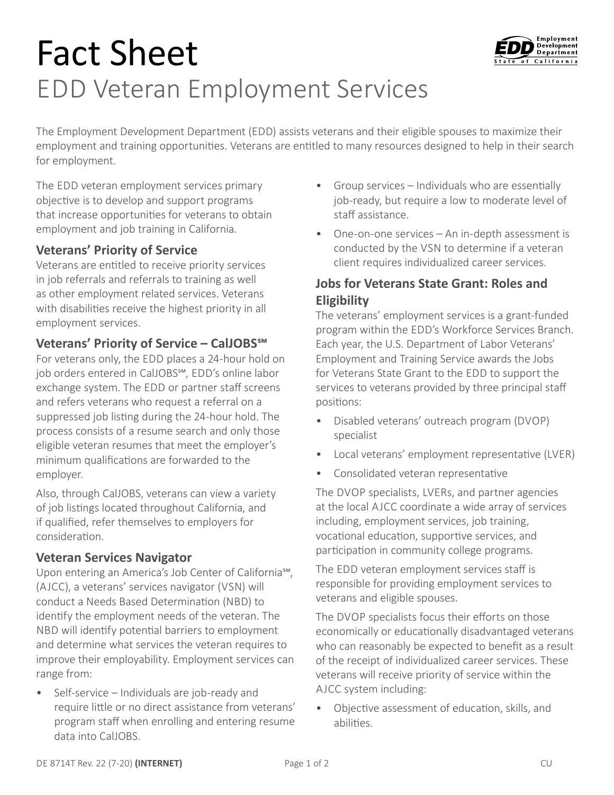# Fact Sheet EDD Veteran Employment Services



The Employment Development Department (EDD) assists veterans and their eligible spouses to maximize their employment and training opportunities. Veterans are entitled to many resources designed to help in their search for employment.

The EDD veteran employment services primary objective is to develop and support programs that increase opportunities for veterans to obtain employment and job training in California.

#### **Veterans' Priority of Service**

Veterans are entitled to receive priority services in job referrals and referrals to training as well as other employment related services. Veterans with disabilities receive the highest priority in all employment services.

## **Veterans' Priority of Service – CalJOBS℠**

For veterans only, the EDD places a 24-hour hold on job orders entered in CalJOBS℠, EDD's online labor exchange system. The EDD or partner staff screens and refers veterans who request a referral on a suppressed job listing during the 24-hour hold. The process consists of a resume search and only those eligible veteran resumes that meet the employer's minimum qualifications are forwarded to the employer.

Also, through CalJOBS, veterans can view a variety of job listings located throughout California, and if qualified, refer themselves to employers for consideration.

## **Veteran Services Navigator**

Upon entering an America's Job Center of California℠, (AJCC), a veterans' services navigator (VSN) will conduct a Needs Based Determination (NBD) to identify the employment needs of the veteran. The NBD will identify potential barriers to employment and determine what services the veteran requires to improve their employability. Employment services can range from:

• Self-service – Individuals are job-ready and require little or no direct assistance from veterans' program staff when enrolling and entering resume data into CalJOBS.

- Group services Individuals who are essentially job-ready, but require a low to moderate level of staff assistance.
- One-on-one services An in-depth assessment is conducted by the VSN to determine if a veteran client requires individualized career services.

## **Jobs for Veterans State Grant: Roles and Eligibility**

The veterans' employment services is a grant-funded program within the EDD's Workforce Services Branch. Each year, the U.S. Department of Labor Veterans' Employment and Training Service awards the Jobs for Veterans State Grant to the EDD to support the services to veterans provided by three principal staff positions:

- Disabled veterans' outreach program (DVOP) specialist
- Local veterans' employment representative (LVER)
- Consolidated veteran representative

The DVOP specialists, LVERs, and partner agencies at the local AJCC coordinate a wide array of services including, employment services, job training, vocational education, supportive services, and participation in community college programs.

The EDD veteran employment services staff is responsible for providing employment services to veterans and eligible spouses.

The DVOP specialists focus their efforts on those economically or educationally disadvantaged veterans who can reasonably be expected to benefit as a result of the receipt of individualized career services. These veterans will receive priority of service within the AJCC system including:

• Objective assessment of education, skills, and abilities.